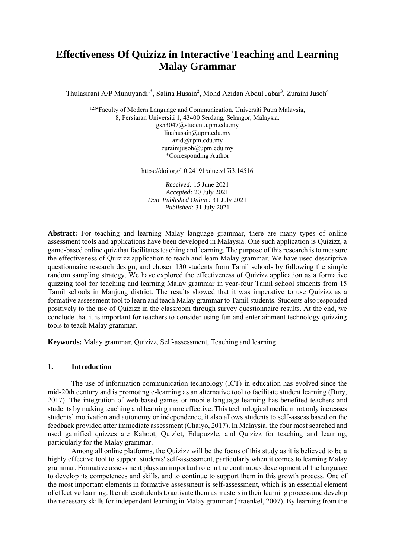# **Effectiveness Of Quizizz in Interactive Teaching and Learning Malay Grammar**

Thulasirani A/P Munuyandi<sup>1\*</sup>, Salina Husain<sup>2</sup>, Mohd Azidan Abdul Jabar<sup>3</sup>, Zuraini Jusoh<sup>4</sup>

<sup>1234</sup>Faculty of Modern Language and Communication, Universiti Putra Malaysia, 8, Persiaran Universiti 1, 43400 Serdang, Selangor, Malaysia. gs53047@student.upm.edu.my [linahusain@upm.edu.my](mailto:linahusain@upm.edu.my) [azid@upm.edu.my](mailto:azid@upm.edu.my) [zurainijusoh@upm.edu.my](mailto:zurainijusoh@upm.edu.my) \*Corresponding Author

https://doi.org/10.24191/ajue.v17i3.14516

*Received:* 15 June 2021 *Accepted:* 20 July 2021 *Date Published Online:* 31 July 2021 *Published:* 31 July 2021

**Abstract:** For teaching and learning Malay language grammar, there are many types of online assessment tools and applications have been developed in Malaysia. One such application is Quizizz, a game-based online quiz that facilitates teaching and learning. The purpose of this research is to measure the effectiveness of Quizizz application to teach and learn Malay grammar. We have used descriptive questionnaire research design, and chosen 130 students from Tamil schools by following the simple random sampling strategy. We have explored the effectiveness of Quizizz application as a formative quizzing tool for teaching and learning Malay grammar in year-four Tamil school students from 15 Tamil schools in Manjung district. The results showed that it was imperative to use Quizizz as a formative assessment tool to learn and teach Malay grammar to Tamil students. Students also responded positively to the use of Quizizz in the classroom through survey questionnaire results. At the end, we conclude that it is important for teachers to consider using fun and entertainment technology quizzing tools to teach Malay grammar.

**Keywords:** Malay grammar, Quizizz, Self-assessment, Teaching and learning.

#### **1. Introduction**

The use of information communication technology (ICT) in education has evolved since the mid-20th century and is promoting e-learning as an alternative tool to facilitate student learning (Bury, 2017). The integration of web-based games or mobile language learning has benefited teachers and students by making teaching and learning more effective. This technological medium not only increases students' motivation and autonomy or independence, it also allows students to self-assess based on the feedback provided after immediate assessment (Chaiyo, 2017). In Malaysia, the four most searched and used gamified quizzes are Kahoot, Quizlet, Edupuzzle, and Quizizz for teaching and learning, particularly for the Malay grammar.

Among all online platforms, the Quizizz will be the focus of this study as it is believed to be a highly effective tool to support students' self-assessment, particularly when it comes to learning Malay grammar. Formative assessment plays an important role in the continuous development of the language to develop its competences and skills, and to continue to support them in this growth process. One of the most important elements in formative assessment is self-assessment, which is an essential element of effective learning. It enables students to activate them as masters in their learning process and develop the necessary skills for independent learning in Malay grammar (Fraenkel, 2007). By learning from the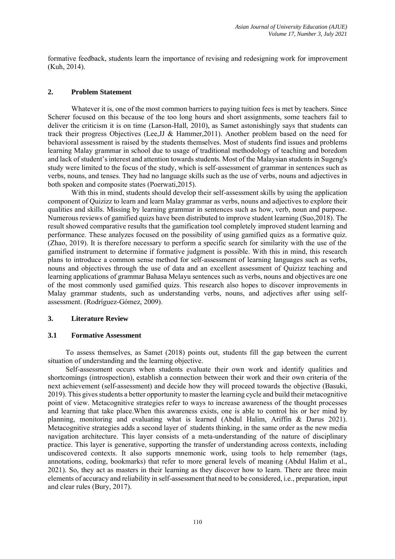formative feedback, students learn the importance of revising and redesigning work for improvement (Kuh, 2014).

## **2. Problem Statement**

Whatever it is, one of the most common barriers to paying tuition fees is met by teachers. Since Scherer focused on this because of the too long hours and short assignments, some teachers fail to deliver the criticism it is on time (Larson-Hall, 2010), as Samet astonishingly says that students can track their progress Objectives (Lee,JJ & Hammer,2011). Another problem based on the need for behavioral assessment is raised by the students themselves. Most of students find issues and problems learning Malay grammar in school due to usage of traditional methodology of teaching and boredom and lack of student's interest and attention towards students. Most of the Malaysian students in Sugeng's study were limited to the focus of the study, which is self-assessment of grammar in sentences such as verbs, nouns, and tenses. They had no language skills such as the use of verbs, nouns and adjectives in both spoken and composite states (Poerwati,2015).

With this in mind, students should develop their self-assessment skills by using the application component of Quizizz to learn and learn Malay grammar as verbs, nouns and adjectives to explore their qualities and skills. Missing by learning grammar in sentences such as how, verb, noun and purpose. Numerous reviews of gamified quizs have been distributed to improve student learning (Suo,2018). The result showed comparative results that the gamification tool completely improved student learning and performance. These analyzes focused on the possibility of using gamified quizs as a formative quiz. (Zhao, 2019). It is therefore necessary to perform a specific search for similarity with the use of the gamified instrument to determine if formative judgment is possible. With this in mind, this research plans to introduce a common sense method for self-assessment of learning languages such as verbs, nouns and objectives through the use of data and an excellent assessment of Quizizz teaching and learning applications of grammar Bahasa Melayu sentences such as verbs, nouns and objectives are one of the most commonly used gamified quizs. This research also hopes to discover improvements in Malay grammar students, such as understanding verbs, nouns, and adjectives after using selfassessment. (Rodríguez-Gómez, 2009).

#### **3. Literature Review**

#### **3.1 Formative Assessment**

To assess themselves, as Samet (2018) points out, students fill the gap between the current situation of understanding and the learning objective.

Self-assessment occurs when students evaluate their own work and identify qualities and shortcomings (introspection), establish a connection between their work and their own criteria of the next achievement (self-assessment) and decide how they will proceed towards the objective (Basuki, 2019). This gives students a better opportunity to master the learning cycle and build their metacognitive point of view. Metacognitive strategies refer to ways to increase awareness of the thought processes and learning that take place.When this awareness exists, one is able to control his or her mind by planning, monitoring and evaluating what is learned (Abdul Halim, Ariffin & Darus 2021). Metacognitive strategies adds a second layer of students thinking, in the same order as the new media navigation architecture. This layer consists of a meta-understanding of the nature of disciplinary practice. This layer is generative, supporting the transfer of understanding across contexts, including undiscovered contexts. It also supports mnemonic work, using tools to help remember (tags, annotations, coding, bookmarks) that refer to more general levels of meaning (Abdul Halim et al., 2021). So, they act as masters in their learning as they discover how to learn. There are three main elements of accuracy and reliability in self-assessment that need to be considered, i.e., preparation, input and clear rules (Bury, 2017).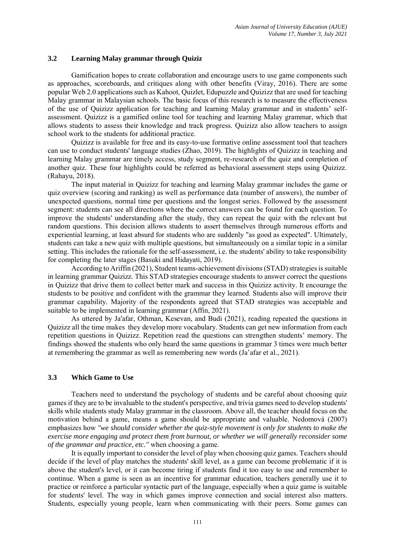## **3.2 Learning Malay grammar through Quiziz**

Gamification hopes to create collaboration and encourage users to use game components such as approaches, scoreboards, and critiques along with other benefits (Viray, 2016). There are some popular Web 2.0 applications such as Kahoot, Quizlet, Edupuzzle and Quizizz that are used for teaching Malay grammar in Malaysian schools. The basic focus of this research is to measure the effectiveness of the use of Quizizz application for teaching and learning Malay grammar and in students' selfassessment. Quizizz is a gamified online tool for teaching and learning Malay grammar, which that allows students to assess their knowledge and track progress. Quizizz also allow teachers to assign school work to the students for additional practice.

Quizizz is available for free and its easy-to-use formative online assessment tool that teachers can use to conduct students' language studies (Zhao, 2019). The highlights of Quizizz in teaching and learning Malay grammar are timely access, study segment, re-research of the quiz and completion of another quiz. These four highlights could be referred as behavioral assessment steps using Quizizz. (Rahayu, 2018).

The input material in Quizizz for teaching and learning Malay grammar includes the game or quiz overview (scoring and ranking) as well as performance data (number of answers), the number of unexpected questions, normal time per questions and the longest series. Followed by the assessment segment: students can see all directions where the correct answers can be found for each question. To improve the students' understanding after the study, they can repeat the quiz with the relevant but random questions. This decision allows students to assert themselves through numerous efforts and experiential learning, at least absurd for students who are suddenly "as good as expected". Ultimately, students can take a new quiz with multiple questions, but simultaneously on a similar topic in a similar setting. This includes the rationale for the self-assessment, i.e. the students' ability to take responsibility for completing the later stages (Basuki and Hidayati, 2019).

According to Ariffin (2021), Student teams-achievement divisions (STAD) strategies is suitable in learning grammar Quizizz. This STAD strategies encourage students to answer correct the questions in Quizizz that drive them to collect better mark and success in this Quizizz activity. It encourage the students to be positive and confident with the grammar they learned. Students also will improve their grammar capability. Majority of the respondents agreed that STAD strategies was acceptable and suitable to be implemented in learning grammar (Affin, 2021).

As uttered by Ja'afar, Othman, Kesevan, and Budi (2021), reading repeated the questions in Quizizz all the time makes they develop more vocabulary. Students can get new information from each repetition questions in Quizizz. Repetition read the questions can strengthen students' memory. The findings showed the students who only heard the same questions in grammar 3 times were much better at remembering the grammar as well as remembering new words (Ja'afar et al., 2021).

## **3.3 Which Game to Use**

Teachers need to understand the psychology of students and be careful about choosing quiz games if they are to be invaluable to the student's perspective, and trivia games need to develop students' skills while students study Malay grammar in the classroom. Above all, the teacher should focus on the motivation behind a game, means a game should be appropriate and valuable. Nedomová (2007) emphasizes how *"we should consider whether the quiz-style movement is only for students to make the exercise more engaging and protect them from burnout, or whether we will generally reconsider some of the grammar and practice, etc."* when choosing a game.

It is equally important to consider the level of play when choosing quiz games. Teachers should decide if the level of play matches the students' skill level, as a game can become problematic if it is above the student's level, or it can become tiring if students find it too easy to use and remember to continue. When a game is seen as an incentive for grammar education, teachers generally use it to practice or reinforce a particular syntactic part of the language, especially when a quiz game is suitable for students' level. The way in which games improve connection and social interest also matters. Students, especially young people, learn when communicating with their peers. Some games can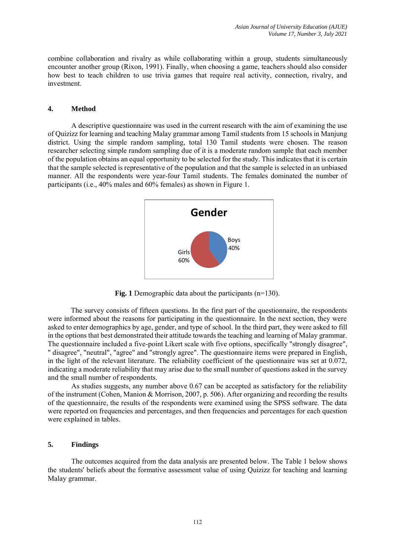combine collaboration and rivalry as while collaborating within a group, students simultaneously encounter another group (Rixon, 1991). Finally, when choosing a game, teachers should also consider how best to teach children to use trivia games that require real activity, connection, rivalry, and investment.

#### **4. Method**

A descriptive questionnaire was used in the current research with the aim of examining the use of Quizizz for learning and teaching Malay grammar among Tamil students from 15 schools in Manjung district. Using the simple random sampling, total 130 Tamil students were chosen. The reason researcher selecting simple random sampling due of it is a moderate random sample that each member of the population obtains an equal opportunity to be selected for the study. This indicates that it is certain that the sample selected is representative of the population and that the sample is selected in an unbiased manner. All the respondents were year-four Tamil students. The females dominated the number of participants (i.e., 40% males and 60% females) as shown in Figure 1.



**Fig. 1** Demographic data about the participants (n=130).

The survey consists of fifteen questions. In the first part of the questionnaire, the respondents were informed about the reasons for participating in the questionnaire. In the next section, they were asked to enter demographics by age, gender, and type of school. In the third part, they were asked to fill in the options that best demonstrated their attitude towards the teaching and learning of Malay grammar. The questionnaire included a five-point Likert scale with five options, specifically "strongly disagree", " disagree", "neutral", "agree" and "strongly agree". The questionnaire items were prepared in English, in the light of the relevant literature. The reliability coefficient of the questionnaire was set at 0.072, indicating a moderate reliability that may arise due to the small number of questions asked in the survey and the small number of respondents.

As studies suggests, any number above 0.67 can be accepted as satisfactory for the reliability of the instrument (Cohen, Manion & Morrison, 2007, p. 506). After organizing and recording the results of the questionnaire, the results of the respondents were examined using the SPSS software. The data were reported on frequencies and percentages, and then frequencies and percentages for each question were explained in tables.

## **5. Findings**

The outcomes acquired from the data analysis are presented below. The Table 1 below shows the students' beliefs about the formative assessment value of using Quizizz for teaching and learning Malay grammar.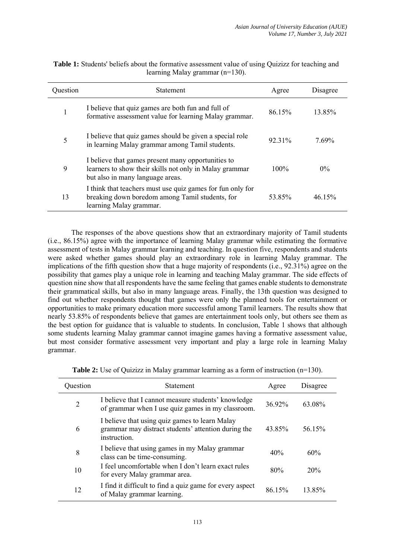| Question | <b>Statement</b>                                                                                                                                  | Agree   | Disagree |
|----------|---------------------------------------------------------------------------------------------------------------------------------------------------|---------|----------|
| 1        | I believe that quiz games are both fun and full of<br>formative assessment value for learning Malay grammar.                                      | 86.15%  | 13.85%   |
| 5        | I believe that quiz games should be given a special role<br>in learning Malay grammar among Tamil students.                                       | 92 31%  | 7.69%    |
| 9        | I believe that games present many opportunities to<br>learners to show their skills not only in Malay grammar<br>but also in many language areas. | $100\%$ | $0\%$    |
| 13       | I think that teachers must use quiz games for fun only for<br>breaking down boredom among Tamil students, for<br>learning Malay grammar.          | 53.85%  | 46.15%   |

**Table 1:** Students' beliefs about the formative assessment value of using Quizizz for teaching and learning Malay grammar (n=130).

The responses of the above questions show that an extraordinary majority of Tamil students (i.e., 86.15%) agree with the importance of learning Malay grammar while estimating the formative assessment of tests in Malay grammar learning and teaching. In question five, respondents and students were asked whether games should play an extraordinary role in learning Malay grammar. The implications of the fifth question show that a huge majority of respondents (i.e., 92.31%) agree on the possibility that games play a unique role in learning and teaching Malay grammar. The side effects of question nine show that all respondents have the same feeling that games enable students to demonstrate their grammatical skills, but also in many language areas. Finally, the 13th question was designed to find out whether respondents thought that games were only the planned tools for entertainment or opportunities to make primary education more successful among Tamil learners. The results show that nearly 53.85% of respondents believe that games are entertainment tools only, but others see them as the best option for guidance that is valuable to students. In conclusion, Table 1 shows that although some students learning Malay grammar cannot imagine games having a formative assessment value, but most consider formative assessment very important and play a large role in learning Malay grammar.

| Question | <b>Statement</b>                                                                                                      | Agree  | Disagree |
|----------|-----------------------------------------------------------------------------------------------------------------------|--------|----------|
| 2        | I believe that I cannot measure students' knowledge<br>of grammar when I use quiz games in my classroom.              | 36 92% | 63.08%   |
| 6        | I believe that using quiz games to learn Malay<br>grammar may distract students' attention during the<br>instruction. | 43 85% | 56.15%   |
| 8        | I believe that using games in my Malay grammar<br>class can be time-consuming.                                        | 40%    | 60%      |
| 10       | I feel uncomfortable when I don't learn exact rules<br>for every Malay grammar area.                                  | 80%    | 20%      |
| 12       | I find it difficult to find a quiz game for every aspect<br>of Malay grammar learning.                                | 86 15% | 13.85%   |

| <b>Table 2:</b> Use of Quizizz in Malay grammar learning as a form of instruction $(n=130)$ . |  |
|-----------------------------------------------------------------------------------------------|--|
|-----------------------------------------------------------------------------------------------|--|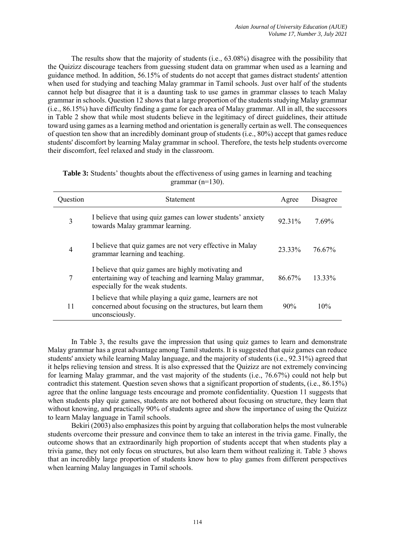The results show that the majority of students (i.e., 63.08%) disagree with the possibility that the Quizizz discourage teachers from guessing student data on grammar when used as a learning and guidance method. In addition, 56.15% of students do not accept that games distract students' attention when used for studying and teaching Malay grammar in Tamil schools. Just over half of the students cannot help but disagree that it is a daunting task to use games in grammar classes to teach Malay grammar in schools. Question 12 shows that a large proportion of the students studying Malay grammar (i.e., 86.15%) have difficulty finding a game for each area of Malay grammar. All in all, the successors in Table 2 show that while most students believe in the legitimacy of direct guidelines, their attitude toward using games as a learning method and orientation is generally certain as well. The consequences of question ten show that an incredibly dominant group of students (i.e., 80%) accept that games reduce students' discomfort by learning Malay grammar in school. Therefore, the tests help students overcome their discomfort, feel relaxed and study in the classroom.

| Question | <b>Statement</b>                                                                                                                                     | Agree  | Disagree |
|----------|------------------------------------------------------------------------------------------------------------------------------------------------------|--------|----------|
| 3        | I believe that using quiz games can lower students' anxiety<br>towards Malay grammar learning.                                                       | 92 31% | 7.69%    |
| 4        | I believe that quiz games are not very effective in Malay<br>grammar learning and teaching.                                                          | 23 33% | 76.67%   |
| 7        | I believe that quiz games are highly motivating and<br>entertaining way of teaching and learning Malay grammar,<br>especially for the weak students. | 86.67% | 13.33%   |
| 11       | I believe that while playing a quiz game, learners are not<br>concerned about focusing on the structures, but learn them<br>unconsciously.           | 90%    | 10%      |

| <b>Table 3:</b> Students' thoughts about the effectiveness of using games in learning and teaching |                      |  |  |
|----------------------------------------------------------------------------------------------------|----------------------|--|--|
|                                                                                                    | grammar (n= $130$ ). |  |  |

In Table 3, the results gave the impression that using quiz games to learn and demonstrate Malay grammar has a great advantage among Tamil students. It is suggested that quiz games can reduce students' anxiety while learning Malay language, and the majority of students (i.e., 92.31%) agreed that it helps relieving tension and stress. It is also expressed that the Quizizz are not extremely convincing for learning Malay grammar, and the vast majority of the students (i.e., 76.67%) could not help but contradict this statement. Question seven shows that a significant proportion of students, (i.e., 86.15%) agree that the online language tests encourage and promote confidentiality. Question 11 suggests that when students play quiz games, students are not bothered about focusing on structure, they learn that without knowing, and practically 90% of students agree and show the importance of using the Quizizz to learn Malay language in Tamil schools.

Bekiri (2003) also emphasizes this point by arguing that collaboration helps the most vulnerable students overcome their pressure and convince them to take an interest in the trivia game. Finally, the outcome shows that an extraordinarily high proportion of students accept that when students play a trivia game, they not only focus on structures, but also learn them without realizing it. Table 3 shows that an incredibly large proportion of students know how to play games from different perspectives when learning Malay languages in Tamil schools.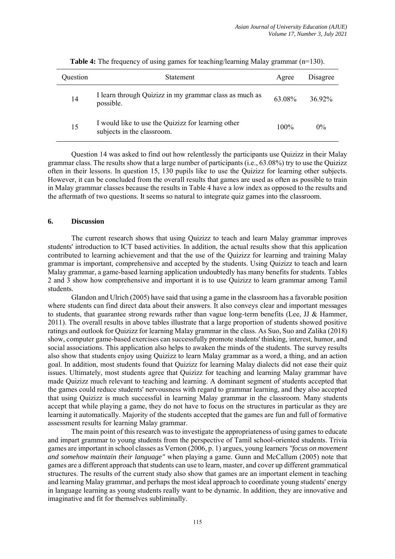| Question | <b>Statement</b>                                                                 | Agree   | Disagree |
|----------|----------------------------------------------------------------------------------|---------|----------|
| 14       | I learn through Quizizz in my grammar class as much as<br>possible.              | 63.08%  | 36.92%   |
| 15       | I would like to use the Quizizz for learning other<br>subjects in the classroom. | $100\%$ | $0\%$    |

**Table 4:** The frequency of using games for teaching/learning Malay grammar (n=130).

Question 14 was asked to find out how relentlessly the participants use Quizizz in their Malay grammar class. The results show that a large number of participants (i.e., 63.08%) try to use the Quizizz often in their lessons. In question 15, 130 pupils like to use the Quizizz for learning other subjects. However, it can be concluded from the overall results that games are used as often as possible to train in Malay grammar classes because the results in Table 4 have a low index as opposed to the results and the aftermath of two questions. It seems so natural to integrate quiz games into the classroom.

## **6. Discussion**

The current research shows that using Quizizz to teach and learn Malay grammar improves students' introduction to ICT based activities. In addition, the actual results show that this application contributed to learning achievement and that the use of the Quizizz for learning and training Malay grammar is important, comprehensive and accepted by the students. Using Quizizz to teach and learn Malay grammar, a game-based learning application undoubtedly has many benefits for students. Tables 2 and 3 show how comprehensive and important it is to use Quizizz to learn grammar among Tamil students.

Glandon and Ulrich (2005) have said that using a game in the classroom has a favorable position where students can find direct data about their answers. It also conveys clear and important messages to students, that guarantee strong rewards rather than vague long-term benefits (Lee, JJ & Hammer, 2011). The overall results in above tables illustrate that a large proportion of students showed positive ratings and outlook for Quizizz for learning Malay grammar in the class. As Suo, Suo and Zalika (2018) show, computer game-based exercises can successfully promote students' thinking, interest, humor, and social associations. This application also helps to awaken the minds of the students. The survey results also show that students enjoy using Quizizz to learn Malay grammar as a word, a thing, and an action goal. In addition, most students found that Quizizz for learning Malay dialects did not ease their quiz issues. Ultimately, most students agree that Quizizz for teaching and learning Malay grammar have made Quizizz much relevant to teaching and learning. A dominant segment of students accepted that the games could reduce students' nervousness with regard to grammar learning, and they also accepted that using Quizizz is much successful in learning Malay grammar in the classroom. Many students accept that while playing a game, they do not have to focus on the structures in particular as they are learning it automatically. Majority of the students accepted that the games are fun and full of formative assessment results for learning Malay grammar.

The main point of this research was to investigate the appropriateness of using games to educate and impart grammar to young students from the perspective of Tamil school-oriented students. Trivia games are important in school classes as Vernon (2006, p. 1) argues, young learners *"focus on movement and somehow maintain their language"* when playing a game. Gunn and McCallum (2005) note that games are a different approach that students can use to learn, master, and cover up different grammatical structures. The results of the current study also show that games are an important element in teaching and learning Malay grammar, and perhaps the most ideal approach to coordinate young students' energy in language learning as young students really want to be dynamic. In addition, they are innovative and imaginative and fit for themselves subliminally.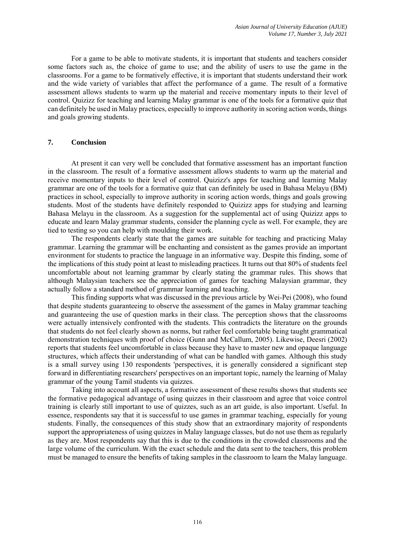For a game to be able to motivate students, it is important that students and teachers consider some factors such as, the choice of game to use; and the ability of users to use the game in the classrooms. For a game to be formatively effective, it is important that students understand their work and the wide variety of variables that affect the performance of a game. The result of a formative assessment allows students to warm up the material and receive momentary inputs to their level of control. Quizizz for teaching and learning Malay grammar is one of the tools for a formative quiz that can definitely be used in Malay practices, especially to improve authority in scoring action words, things and goals growing students.

## **7. Conclusion**

At present it can very well be concluded that formative assessment has an important function in the classroom. The result of a formative assessment allows students to warm up the material and receive momentary inputs to their level of control. Quizizz's apps for teaching and learning Malay grammar are one of the tools for a formative quiz that can definitely be used in Bahasa Melayu (BM) practices in school, especially to improve authority in scoring action words, things and goals growing students. Most of the students have definitely responded to Quizizz apps for studying and learning Bahasa Melayu in the classroom. As a suggestion for the supplemental act of using Quizizz apps to educate and learn Malay grammar students, consider the planning cycle as well. For example, they are tied to testing so you can help with moulding their work.

The respondents clearly state that the games are suitable for teaching and practicing Malay grammar. Learning the grammar will be enchanting and consistent as the games provide an important environment for students to practice the language in an informative way. Despite this finding, some of the implications of this study point at least to misleading practices. It turns out that 80% of students feel uncomfortable about not learning grammar by clearly stating the grammar rules. This shows that although Malaysian teachers see the appreciation of games for teaching Malaysian grammar, they actually follow a standard method of grammar learning and teaching.

This finding supports what was discussed in the previous article by Wei-Pei (2008), who found that despite students guaranteeing to observe the assessment of the games in Malay grammar teaching and guaranteeing the use of question marks in their class. The perception shows that the classrooms were actually intensively confronted with the students. This contradicts the literature on the grounds that students do not feel clearly shown as norms, but rather feel comfortable being taught grammatical demonstration techniques with proof of choice (Gunn and McCallum, 2005). Likewise, Deesri (2002) reports that students feel uncomfortable in class because they have to master new and opaque language structures, which affects their understanding of what can be handled with games. Although this study is a small survey using 130 respondents 'perspectives, it is generally considered a significant step forward in differentiating researchers' perspectives on an important topic, namely the learning of Malay grammar of the young Tamil students via quizzes.

Taking into account all aspects, a formative assessment of these results shows that students see the formative pedagogical advantage of using quizzes in their classroom and agree that voice control training is clearly still important to use of quizzes, such as an art guide, is also important. Useful. In essence, respondents say that it is successful to use games in grammar teaching, especially for young students. Finally, the consequences of this study show that an extraordinary majority of respondents support the appropriateness of using quizzes in Malay language classes, but do not use them as regularly as they are. Most respondents say that this is due to the conditions in the crowded classrooms and the large volume of the curriculum. With the exact schedule and the data sent to the teachers, this problem must be managed to ensure the benefits of taking samples in the classroom to learn the Malay language.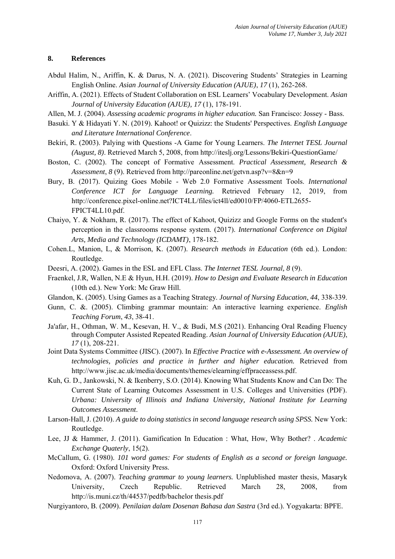## **8. References**

- Abdul Halim, N., Ariffin, K. & Darus, N. A. (2021). Discovering Students' Strategies in Learning English Online. *Asian Journal of University Education (AJUE)*, *17* (1), 262-268.
- Ariffin, A. (2021). Effects of Student Collaboration on ESL Learners' Vocabulary Development. *Asian Journal of University Education (AJUE), 17* (1), 178-191.
- Allen, M. J. (2004). *Assessing academic programs in higher education.* San Francisco: Jossey Bass.
- Basuki. Y & Hidayati Y. N. (2019). Kahoot! or Quizizz: the Students' Perspectives. *English Language and Literature International Conference*.
- Bekiri, R. (2003). Palying with Questions -A Game for Young Learners. *The Internet TESL Journal (August, 8)*. Retrieved March 5, 2008, from http://iteslj.org/Lessons/Bekiri-QuestionGame/
- Boston, C. (2002). The concept of Formative Assessment. *Practical Assessment, Research & Assessment*, *8* (9). Retrieved from http://pareonline.net/getvn.asp?v=8&n=9
- Bury, B. (2017). Quizing Goes Mobile Web 2.0 Formative Assessment Tools. *International Conference ICT for Language Learning.* Retrieved February 12, 2019, from http://conference.pixel-online.net?ICT4LL/files/ict4ll/ed0010/FP/4060-ETL2655- FPICT4LL10.pdf.
- Chaiyo, Y. & Nokham, R. (2017). The effect of Kahoot, Quizizz and Google Forms on the student's perception in the classrooms response system. (2017). *International Conference on Digital Arts, Media and Technology (ICDAMT)*, 178-182.
- Cohen.L, Manion, L, & Morrison, K. (2007). *Research methods in Education* (6th ed.). London: Routledge.
- Deesri, A. (2002). Games in the ESL and EFL Class. *The Internet TESL Journal, 8* (9).
- Fraenkel, J.R, Wallen, N.E & Hyun, H.H. (2019). *How to Design and Evaluate Research in Education*  (10th ed.). New York: Mc Graw Hill.
- Glandon, K. (2005). Using Games as a Teaching Strategy. *Journal of Nursing Education*, *44*, 338-339.
- Gunn, C. &. (2005). Climbing grammar mountain: An interactive learning experience. *English Teaching Forum*, *43*, 38-41.
- Ja'afar, H., Othman, W. M., Kesevan, H. V., & Budi, M.S (2021). Enhancing Oral Reading Fluency through Computer Assisted Repeated Reading. *Asian Journal of University Education (AJUE)*, *17* (1), 208-221.
- Joint Data Systems Committee (JISC). (2007). In *Effective Practice with e-Assessment. An overview of technologies, policies and practice in further and higher education.* Retrieved from http://www.jisc.ac.uk/media/documents/themes/elearning/effpraceassess.pdf.
- Kuh, G. D., Jankowski, N. & Ikenberry, S.O. (2014). Knowing What Students Know and Can Do: The Current State of Learning Outcomes Assessment in U.S. Colleges and Universities (PDF). *Urbana: University of Illinois and Indiana University, National Institute for Learning Outcomes Assessment*.
- Larson-Hall, J. (2010). *A guide to doing statistics in second language research using SPSS.* New York: Routledge.
- Lee, JJ & Hammer, J. (2011). Gamification In Education : What, How, Why Bother? . *Academic Exchange Quaterly*, 15(2).
- McCallum, G. (1980). *101 word games: For students of English as a second or foreign language.* Oxford: Oxford University Press.
- Nedomova, A. (2007). *Teaching grammar to young learners.* Unplublished master thesis, Masaryk University, Czech Republic. Retrieved March 28, 2008, from http://is.muni.cz/th/44537/pedfb/bachelor thesis.pdf
- Nurgiyantoro, B. (2009). *Penilaian dalam Dosenan Bahasa dan Sastra* (3rd ed.). Yogyakarta: BPFE.